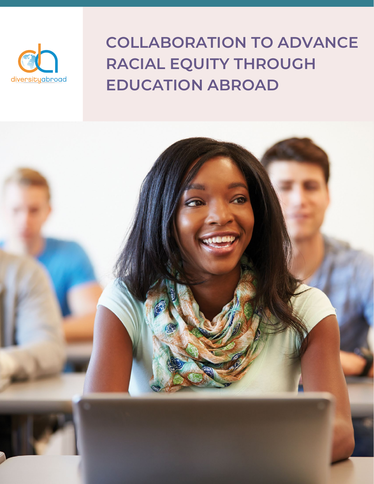

# **COLLABORATION TO ADVANCE RACIAL EQUITY THROUGH EDUCATION ABROAD**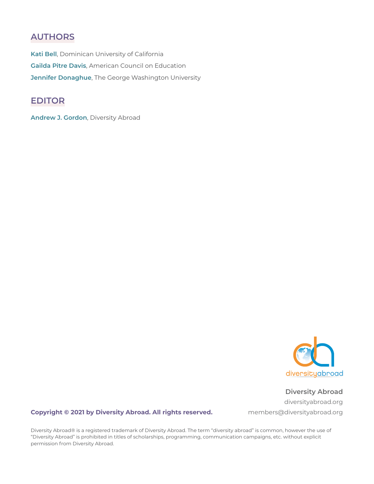#### **AUTHORS**

**Kati Bell**, Dominican University of California **Gailda Pitre Davis**, American Council on Education **Jennifer Donaghue**, The George Washington University

#### **EDITOR**

**Andrew J. Gordon**, Diversity Abroad



**Diversity Abroad** [diversityabroad.org](http://www.diversityabroad.org) members@diversityabroad.org

#### **Copyright © 2021 by Diversity Abroad. All rights reserved.**

Diversity Abroad® is a registered trademark of Diversity Abroad. The term "diversity abroad" is common, however the use of "Diversity Abroad" is prohibited in titles of scholarships, programming, communication campaigns, etc. without explicit permission from Diversity Abroad.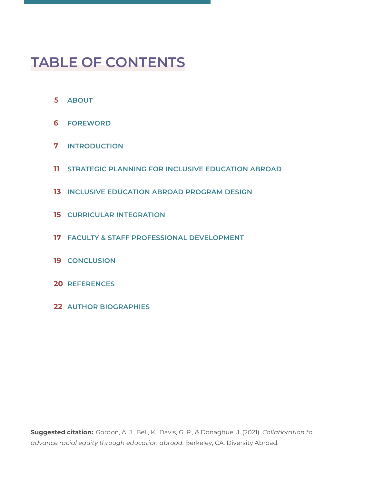# **TABLE OF CONTENTS**

- **[ABOUT](#page-3-0)**
- **[FOREWORD](#page-4-0)**
- **[INTRODUCTION](#page-5-0)**
- **[STRATEGIC PLANNING FOR INCLUSIVE EDUCATION ABROAD](#page-9-0)**
- **[INCLUSIVE EDUCATION ABROAD PROGRAM DESIGN](#page-11-0)**
- **[CURRICULAR INTEGRATION](#page-13-0)**
- **[FACULTY & STAFF PROFESSIONAL DEVELOPMENT](#page-15-0)**
- **[CONCLUSION](#page-17-0)**
- **[REFERENCES](#page-18-0)**
- **[AUTHOR BIOGRAPHIES](#page-20-0)**

**Suggested citation:** Gordon, A. J., Bell, K., Davis, G. P., & Donaghue, J. (2021). *Collaboration to advance racial equity through education abroad*. Berkeley, CA: Diversity Abroad.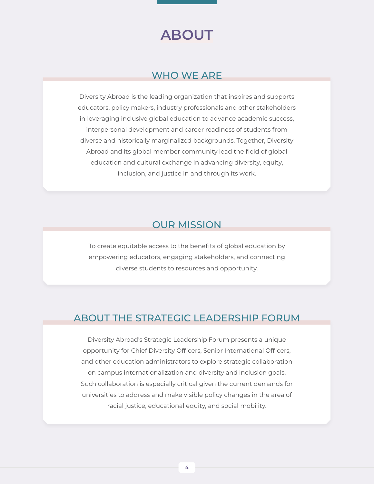# **ABOUT**

#### WHO WE ARE

<span id="page-3-0"></span>Diversity Abroad is the leading organization that inspires and supports educators, policy makers, industry professionals and other stakeholders in leveraging inclusive global education to advance academic success, interpersonal development and career readiness of students from diverse and historically marginalized backgrounds. Together, Diversity Abroad and its global member community lead the field of global education and cultural exchange in advancing diversity, equity, inclusion, and justice in and through its work.

#### OUR MISSION

To create equitable access to the benefits of global education by empowering educators, engaging stakeholders, and connecting diverse students to resources and opportunity.

#### ABOUT THE STRATEGIC LEADERSHIP FORUM

Diversity Abroad's Strategic Leadership Forum presents a unique opportunity for Chief Diversity Officers, Senior International Officers, and other education administrators to explore strategic collaboration on campus internationalization and diversity and inclusion goals. Such collaboration is especially critical given the current demands for universities to address and make visible policy changes in the area of racial justice, educational equity, and social mobility.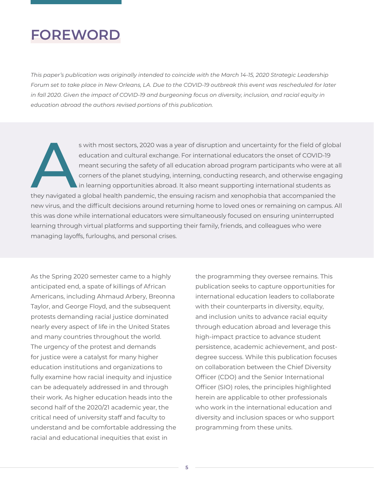## <span id="page-4-0"></span>**FOREWORD**

*This paper's publication was originally intended to coincide with the March 14-15, 2020 Strategic Leadership Forum set to take place in New Orleans, LA. Due to the COVID-19 outbreak this event was rescheduled for later in fall 2020. Given the impact of COVID-19 and burgeoning focus on diversity, inclusion, and racial equity in education abroad the authors revised portions of this publication.*

s with most sectors, 2020 was a year of disruption and uncertainty for the field of global<br>education and cultural exchange. For international educators the onset of COVID-19<br>meant securing the safety of all education abroa education and cultural exchange. For international educators the onset of COVID-19 meant securing the safety of all education abroad program participants who were at all corners of the planet studying, interning, conducting research, and otherwise engaging in learning opportunities abroad. It also meant supporting international students as they navigated a global health pandemic, the ensuing racism and xenophobia that accompanied the new virus, and the difficult decisions around returning home to loved ones or remaining on campus. All this was done while international educators were simultaneously focused on ensuring uninterrupted learning through virtual platforms and supporting their family, friends, and colleagues who were managing layoffs, furloughs, and personal crises.

As the Spring 2020 semester came to a highly anticipated end, a spate of killings of African Americans, including Ahmaud Arbery, Breonna Taylor, and George Floyd, and the subsequent protests demanding racial justice dominated nearly every aspect of life in the United States and many countries throughout the world. The urgency of the protest and demands for justice were a catalyst for many higher education institutions and organizations to fully examine how racial inequity and injustice can be adequately addressed in and through their work. As higher education heads into the second half of the 2020/21 academic year, the critical need of university staff and faculty to understand and be comfortable addressing the racial and educational inequities that exist in

the programming they oversee remains. This publication seeks to capture opportunities for international education leaders to collaborate with their counterparts in diversity, equity, and inclusion units to advance racial equity through education abroad and leverage this high-impact practice to advance student persistence, academic achievement, and postdegree success. While this publication focuses on collaboration between the Chief Diversity Officer (CDO) and the Senior International Officer (SIO) roles, the principles highlighted herein are applicable to other professionals who work in the international education and diversity and inclusion spaces or who support programming from these units.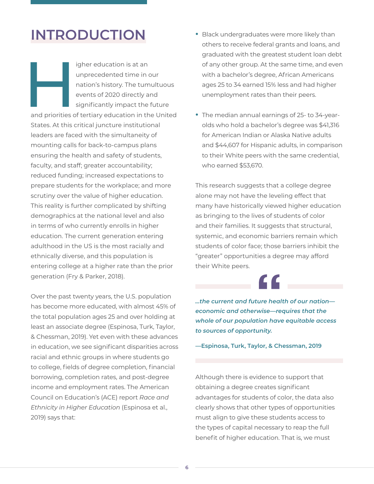## <span id="page-5-0"></span>**INTRODUCTION**

igher education is at an<br>
unprecedented time in or<br>
nation's history. The tum<br>
events of 2020 directly a<br>
significantly impact the<br>
and priorities of tertiary education in the unprecedented time in our nation's history. The tumultuous events of 2020 directly and significantly impact the future

and priorities of tertiary education in the United States. At this critical juncture institutional leaders are faced with the simultaneity of mounting calls for back-to-campus plans ensuring the health and safety of students, faculty, and staff; greater accountability; reduced funding; increased expectations to prepare students for the workplace; and more scrutiny over the value of higher education. This reality is further complicated by shifting demographics at the national level and also in terms of who currently enrolls in higher education. The current generation entering adulthood in the US is the most racially and ethnically diverse, and this population is entering college at a higher rate than the prior generation (Fry & Parker, 2018).

Over the past twenty years, the U.S. population has become more educated, with almost 45% of the total population ages 25 and over holding at least an associate degree (Espinosa, Turk, Taylor, & Chessman, 2019). Yet even with these advances in education, we see significant disparities across racial and ethnic groups in where students go to college, fields of degree completion, financial borrowing, completion rates, and post-degree income and employment rates. The American Council on Education's (ACE) report *Race and Ethnicity in Higher Education* (Espinosa et al., 2019) says that:

- **•** Black undergraduates were more likely than others to receive federal grants and loans, and graduated with the greatest student loan debt of any other group. At the same time, and even with a bachelor's degree, African Americans ages 25 to 34 earned 15% less and had higher unemployment rates than their peers.
- **•** The median annual earnings of 25- to 34-yearolds who hold a bachelor's degree was \$41,316 for American Indian or Alaska Native adults and \$44,607 for Hispanic adults, in comparison to their White peers with the same credential, who earned \$53,670.

This research suggests that a college degree alone may not have the leveling effect that many have historically viewed higher education as bringing to the lives of students of color and their families. It suggests that structural, systemic, and economic barriers remain which students of color face; those barriers inhibit the "greater" opportunities a degree may afford their White peers.

*...the current and future health of our nation economic and otherwise—requires that the whole of our population have equitable access to sources of opportunity.*

**—Espinosa, Turk, Taylor, & Chessman, 2019**

Although there is evidence to support that obtaining a degree creates significant advantages for students of color, the data also clearly shows that other types of opportunities must align to give these students access to the types of capital necessary to reap the full benefit of higher education. That is, we must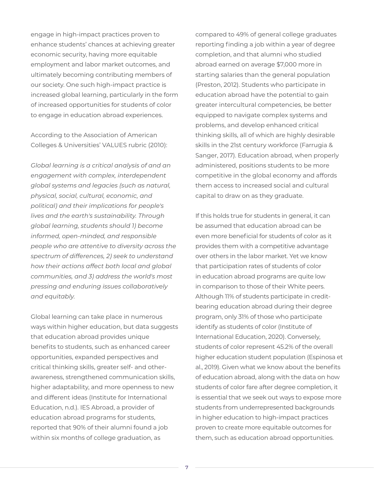engage in high-impact practices proven to enhance students' chances at achieving greater economic security, having more equitable employment and labor market outcomes, and ultimately becoming contributing members of our society. One such high-impact practice is increased global learning, particularly in the form of increased opportunities for students of color to engage in education abroad experiences.

According to the Association of American Colleges & Universities' VALUES rubric (2010):

*Global learning is a critical analysis of and an engagement with complex, interdependent global systems and legacies (such as natural, physical, social, cultural, economic, and political) and their implications for people's lives and the earth's sustainability. Through global learning, students should 1) become informed, open-minded, and responsible people who are attentive to diversity across the spectrum of differences, 2) seek to understand how their actions affect both local and global communities, and 3) address the world's most pressing and enduring issues collaboratively and equitably.*

Global learning can take place in numerous ways within higher education, but data suggests that education abroad provides unique benefits to students, such as enhanced career opportunities, expanded perspectives and critical thinking skills, greater self- and otherawareness, strengthened communication skills, higher adaptability, and more openness to new and different ideas (Institute for International Education, n.d.). IES Abroad, a provider of education abroad programs for students, reported that 90% of their alumni found a job within six months of college graduation, as

compared to 49% of general college graduates reporting finding a job within a year of degree completion, and that alumni who studied abroad earned on average \$7,000 more in starting salaries than the general population (Preston, 2012). Students who participate in education abroad have the potential to gain greater intercultural competencies, be better equipped to navigate complex systems and problems, and develop enhanced critical thinking skills, all of which are highly desirable skills in the 21st century workforce (Farrugia & Sanger, 2017). Education abroad, when properly administered, positions students to be more competitive in the global economy and affords them access to increased social and cultural capital to draw on as they graduate.

If this holds true for students in general, it can be assumed that education abroad can be even more beneficial for students of color as it provides them with a competitive advantage over others in the labor market. Yet we know that participation rates of students of color in education abroad programs are quite low in comparison to those of their White peers. Although 11% of students participate in creditbearing education abroad during their degree program, only 31% of those who participate identify as students of color (Institute of International Education, 2020). Conversely, students of color represent 45.2% of the overall higher education student population (Espinosa et al., 2019). Given what we know about the benefits of education abroad, along with the data on how students of color fare after degree completion, it is essential that we seek out ways to expose more students from underrepresented backgrounds in higher education to high-impact practices proven to create more equitable outcomes for them, such as education abroad opportunities.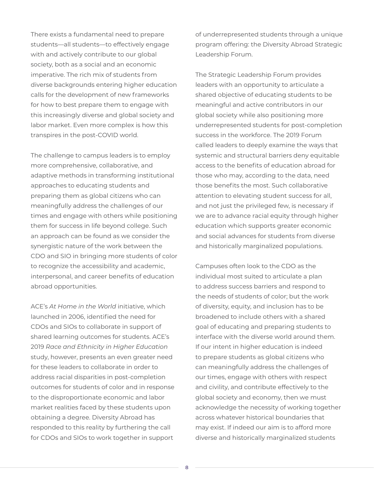There exists a fundamental need to prepare students—all students—to effectively engage with and actively contribute to our global society, both as a social and an economic imperative. The rich mix of students from diverse backgrounds entering higher education calls for the development of new frameworks for how to best prepare them to engage with this increasingly diverse and global society and labor market. Even more complex is how this transpires in the post-COVID world.

The challenge to campus leaders is to employ more comprehensive, collaborative, and adaptive methods in transforming institutional approaches to educating students and preparing them as global citizens who can meaningfully address the challenges of our times and engage with others while positioning them for success in life beyond college. Such an approach can be found as we consider the synergistic nature of the work between the CDO and SIO in bringing more students of color to recognize the accessibility and academic, interpersonal, and career benefits of education abroad opportunities.

ACE's *At Home in the World* initiative, which launched in 2006, identified the need for CDOs and SIOs to collaborate in support of shared learning outcomes for students. ACE's 2019 *Race and Ethnicity in Higher Education* study, however, presents an even greater need for these leaders to collaborate in order to address racial disparities in post-completion outcomes for students of color and in response to the disproportionate economic and labor market realities faced by these students upon obtaining a degree. Diversity Abroad has responded to this reality by furthering the call for CDOs and SIOs to work together in support

of underrepresented students through a unique program offering: the Diversity Abroad Strategic Leadership Forum.

The Strategic Leadership Forum provides leaders with an opportunity to articulate a shared objective of educating students to be meaningful and active contributors in our global society while also positioning more underrepresented students for post-completion success in the workforce. The 2019 Forum called leaders to deeply examine the ways that systemic and structural barriers deny equitable access to the benefits of education abroad for those who may, according to the data, need those benefits the most. Such collaborative attention to elevating student success for all, and not just the privileged few, is necessary if we are to advance racial equity through higher education which supports greater economic and social advances for students from diverse and historically marginalized populations.

Campuses often look to the CDO as the individual most suited to articulate a plan to address success barriers and respond to the needs of students of color; but the work of diversity, equity, and inclusion has to be broadened to include others with a shared goal of educating and preparing students to interface with the diverse world around them. If our intent in higher education is indeed to prepare students as global citizens who can meaningfully address the challenges of our times, engage with others with respect and civility, and contribute effectively to the global society and economy, then we must acknowledge the necessity of working together across whatever historical boundaries that may exist. If indeed our aim is to afford more diverse and historically marginalized students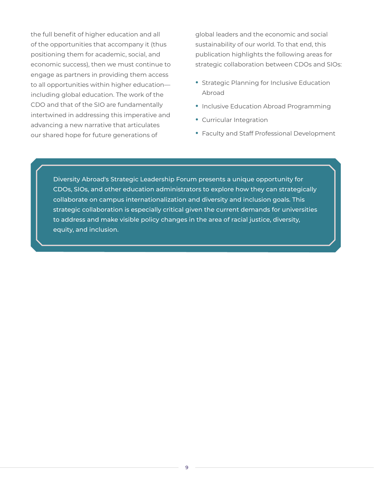the full benefit of higher education and all of the opportunities that accompany it (thus positioning them for academic, social, and economic success), then we must continue to engage as partners in providing them access to all opportunities within higher education including global education. The work of the CDO and that of the SIO are fundamentally intertwined in addressing this imperative and advancing a new narrative that articulates our shared hope for future generations of

global leaders and the economic and social sustainability of our world. To that end, this publication highlights the following areas for strategic collaboration between CDOs and SIOs:

- **•** Strategic Planning for Inclusive Education Abroad
- **•** Inclusive Education Abroad Programming
- **•** Curricular Integration
- **•** Faculty and Staff Professional Development

Diversity Abroad's Strategic Leadership Forum presents a unique opportunity for CDOs, SIOs, and other education administrators to explore how they can strategically collaborate on campus internationalization and diversity and inclusion goals. This strategic collaboration is especially critical given the current demands for universities to address and make visible policy changes in the area of racial justice, diversity, equity, and inclusion.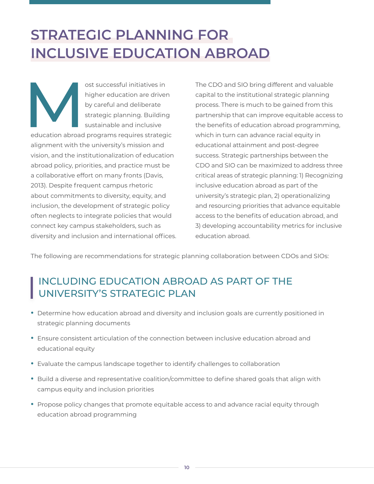# <span id="page-9-0"></span>**STRATEGIC PLANNING FOR INCLUSIVE EDUCATION ABROAD**

ost successful initiatives in<br>
higher education are driver<br>
by careful and deliberate<br>
strategic planning. Building<br>
sustainable and inclusive<br>
education abroad programs requires strateg higher education are driven by careful and deliberate strategic planning. Building sustainable and inclusive

education abroad programs requires strategic alignment with the university's mission and vision, and the institutionalization of education abroad policy, priorities, and practice must be a collaborative effort on many fronts (Davis, 2013). Despite frequent campus rhetoric about commitments to diversity, equity, and inclusion, the development of strategic policy often neglects to integrate policies that would connect key campus stakeholders, such as diversity and inclusion and international offices. The CDO and SIO bring different and valuable capital to the institutional strategic planning process. There is much to be gained from this partnership that can improve equitable access to the benefits of education abroad programming, which in turn can advance racial equity in educational attainment and post-degree success. Strategic partnerships between the CDO and SIO can be maximized to address three critical areas of strategic planning: 1) Recognizing inclusive education abroad as part of the university's strategic plan, 2) operationalizing and resourcing priorities that advance equitable access to the benefits of education abroad, and 3) developing accountability metrics for inclusive education abroad.

The following are recommendations for strategic planning collaboration between CDOs and SIOs:

### INCLUDING EDUCATION ABROAD AS PART OF THE UNIVERSITY'S STRATEGIC PLAN

- **•** Determine how education abroad and diversity and inclusion goals are currently positioned in strategic planning documents
- **•** Ensure consistent articulation of the connection between inclusive education abroad and educational equity
- **•** Evaluate the campus landscape together to identify challenges to collaboration
- **•** Build a diverse and representative coalition/committee to define shared goals that align with campus equity and inclusion priorities
- **•** Propose policy changes that promote equitable access to and advance racial equity through education abroad programming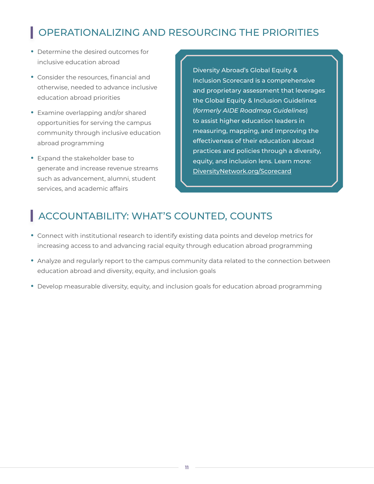## OPERATIONALIZING AND RESOURCING THE PRIORITIES

- **•** Determine the desired outcomes for inclusive education abroad
- **•** Consider the resources, financial and otherwise, needed to advance inclusive education abroad priorities
- **•** Examine overlapping and/or shared opportunities for serving the campus community through inclusive education abroad programming
- **•** Expand the stakeholder base to generate and increase revenue streams such as advancement, alumni, student services, and academic affairs

Diversity Abroad's Global Equity & Inclusion Scorecard is a comprehensive and proprietary assessment that leverages the Global Equity & Inclusion Guidelines (*formerly AIDE Roadmap Guidelines*) to assist higher education leaders in measuring, mapping, and improving the effectiveness of their education abroad practices and policies through a diversity, equity, and inclusion lens. Learn more: [DiversityNetwork.org/Scorecard](http://DiversityNetwork.org/Scorecard)

### ACCOUNTABILITY: WHAT'S COUNTED, COUNTS

- **•** Connect with institutional research to identify existing data points and develop metrics for increasing access to and advancing racial equity through education abroad programming
- **•** Analyze and regularly report to the campus community data related to the connection between education abroad and diversity, equity, and inclusion goals
- **•** Develop measurable diversity, equity, and inclusion goals for education abroad programming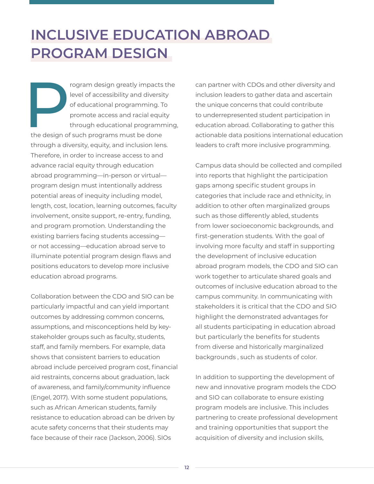# <span id="page-11-0"></span>**INCLUSIVE EDUCATION ABROAD PROGRAM DESIGN**

From the sign greatly impacts the<br>
Property of educational programming. To<br>
promote access and racial equity<br>
through educational programming<br>
the design of such programs must be done level of accessibility and diversity of educational programming. To promote access and racial equity through educational programming, the design of such programs must be done through a diversity, equity, and inclusion lens. Therefore, in order to increase access to and advance racial equity through education abroad programming—in-person or virtual program design must intentionally address potential areas of inequity including model, length, cost, location, learning outcomes, faculty involvement, onsite support, re-entry, funding, and program promotion. Understanding the existing barriers facing students accessing or not accessing—education abroad serve to illuminate potential program design flaws and positions educators to develop more inclusive education abroad programs.

Collaboration between the CDO and SIO can be particularly impactful and can yield important outcomes by addressing common concerns, assumptions, and misconceptions held by keystakeholder groups such as faculty, students, staff, and family members. For example, data shows that consistent barriers to education abroad include perceived program cost, financial aid restraints, concerns about graduation, lack of awareness, and family/community influence (Engel, 2017). With some student populations, such as African American students, family resistance to education abroad can be driven by acute safety concerns that their students may face because of their race (Jackson, 2006). SIOs

can partner with CDOs and other diversity and inclusion leaders to gather data and ascertain the unique concerns that could contribute to underrepresented student participation in education abroad. Collaborating to gather this actionable data positions international education leaders to craft more inclusive programming.

Campus data should be collected and compiled into reports that highlight the participation gaps among specific student groups in categories that include race and ethnicity, in addition to other often marginalized groups such as those differently abled, students from lower socioeconomic backgrounds, and first-generation students. With the goal of involving more faculty and staff in supporting the development of inclusive education abroad program models, the CDO and SIO can work together to articulate shared goals and outcomes of inclusive education abroad to the campus community. In communicating with stakeholders it is critical that the CDO and SIO highlight the demonstrated advantages for all students participating in education abroad but particularly the benefits for students from diverse and historically marginalized backgrounds , such as students of color.

In addition to supporting the development of new and innovative program models the CDO and SIO can collaborate to ensure existing program models are inclusive. This includes partnering to create professional development and training opportunities that support the acquisition of diversity and inclusion skills,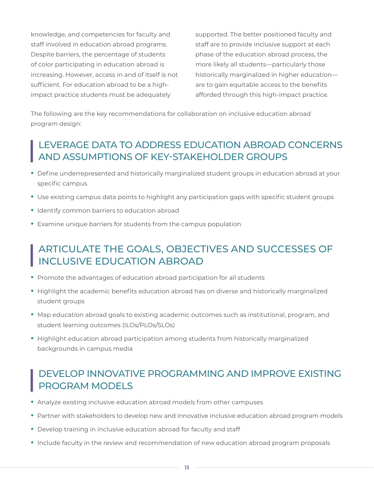knowledge, and competencies for faculty and staff involved in education abroad programs. Despite barriers, the percentage of students of color participating in education abroad is increasing. However, access in and of itself is not sufficient. For education abroad to be a highimpact practice students must be adequately

supported. The better positioned faculty and staff are to provide inclusive support at each phase of the education abroad process, the more likely all students—particularly those historically marginalized in higher education are to gain equitable access to the benefits afforded through this high-impact practice.

The following are the key recommendations for collaboration on inclusive education abroad program design:

### LEVERAGE DATA TO ADDRESS EDUCATION ABROAD CONCERNS AND ASSUMPTIONS OF KEY-STAKEHOLDER GROUPS

- **•** Define underrepresented and historically marginalized student groups in education abroad at your specific campus
- **•** Use existing campus data points to highlight any participation gaps with specific student groups
- **•** Identify common barriers to education abroad
- **•** Examine unique barriers for students from the campus population

#### ARTICULATE THE GOALS, OBJECTIVES AND SUCCESSES OF INCLUSIVE EDUCATION ABROAD

- **•** Promote the advantages of education abroad participation for all students
- **•** Highlight the academic benefits education abroad has on diverse and historically marginalized student groups
- **•** Map education abroad goals to existing academic outcomes such as institutional, program, and student learning outcomes (ILOs/PLOs/SLOs)
- **•** Highlight education abroad participation among students from historically marginalized backgrounds in campus media

#### DEVELOP INNOVATIVE PROGRAMMING AND IMPROVE EXISTING PROGRAM MODELS

- **•** Analyze existing inclusive education abroad models from other campuses
- **•** Partner with stakeholders to develop new and innovative inclusive education abroad program models
- **•** Develop training in inclusive education abroad for faculty and staff
- **•** Include faculty in the review and recommendation of new education abroad program proposals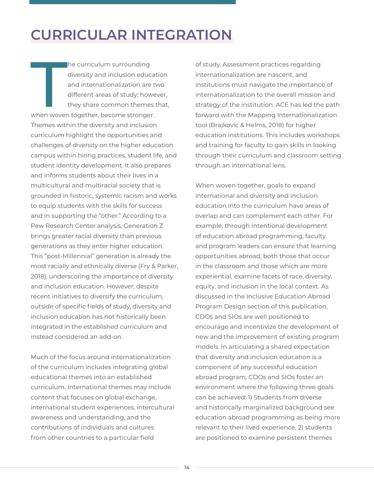# <span id="page-13-0"></span>**CURRICULAR INTEGRATION**

The curriculum surrounding<br>diversity and inclusion educa<br>and internationalization are t<br>different areas of study; howe<br>they share common themes<br>when woven together, become stronger. he curriculum surrounding diversity and inclusion education and internationalization are two different areas of study; however, they share common themes that, Themes within the diversity and inclusion curriculum highlight the opportunities and challenges of diversity on the higher education campus within hiring practices, student life, and student identity development. It also prepares and informs students about their lives in a multicultural and multiracial society that is grounded in historic, systemic racism and works to equip students with the skills for success and in supporting the "other." According to a Pew Research Center analysis, Generation Z brings greater racial diversity than previous generations as they enter higher education. This "post-Millennial" generation is already the most racially and ethnically diverse (Fry & Parker, 2018), underscoring the importance of diversity and inclusion education. However, despite recent initiatives to diversify the curriculum, outside of specific fields of study, diversity and inclusion education has not historically been integrated in the established curriculum and instead considered an add-on.

Much of the focus around internationalization of the curriculum includes integrating global educational themes into an established curriculum. International themes may include content that focuses on global exchange, international student experiences, intercultural awareness and understanding, and the contributions of individuals and cultures from other countries to a particular field

of study. Assessment practices regarding internationalization are nascent, and institutions must navigate the importance of internationalization to the overall mission and strategy of the institution. ACE has led the path forward with the Mapping Internationalization tool (Brajkovic & Helms, 2018) for higher education institutions. This includes workshops and training for faculty to gain skills in looking through their curriculum and classroom setting through an international lens.

When woven together, goals to expand international and diversity and inclusion education into the curriculum have areas of overlap and can complement each other. For example, through intentional development of education abroad programming, faculty and program leaders can ensure that learning opportunities abroad, both those that occur in the classroom and those which are more experiential, examine facets of race, diversity, equity, and inclusion in the local context. As discussed in the Inclusive Education Abroad Program Design section of this publication, CDOs and SIOs are well positioned to encourage and incentivize the development of new and the improvement of existing program models. In articulating a shared expectation that diversity and inclusion education is a component of any successful education abroad program, CDOs and SIOs foster an environment where the following three goals can be achieved: 1) Students from diverse and historically marginalized background see education abroad programming as being more relevant to their lived experience, 2) students are positioned to examine persistent themes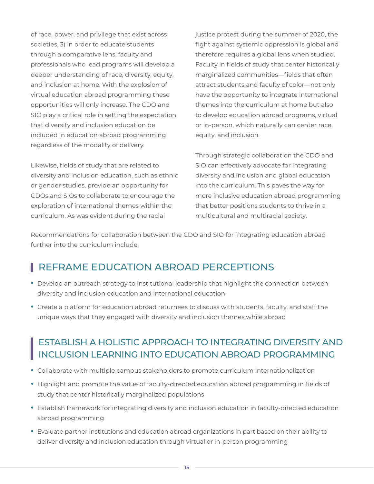of race, power, and privilege that exist across societies, 3) in order to educate students through a comparative lens, faculty and professionals who lead programs will develop a deeper understanding of race, diversity, equity, and inclusion at home. With the explosion of virtual education abroad programming these opportunities will only increase. The CDO and SIO play a critical role in setting the expectation that diversity and inclusion education be included in education abroad programming regardless of the modality of delivery.

Likewise, fields of study that are related to diversity and inclusion education, such as ethnic or gender studies, provide an opportunity for CDOs and SIOs to collaborate to encourage the exploration of international themes within the curriculum. As was evident during the racial

justice protest during the summer of 2020, the fight against systemic oppression is global and therefore requires a global lens when studied. Faculty in fields of study that center historically marginalized communities—fields that often attract students and faculty of color—not only have the opportunity to integrate international themes into the curriculum at home but also to develop education abroad programs, virtual or in-person, which naturally can center race, equity, and inclusion.

Through strategic collaboration the CDO and SIO can effectively advocate for integrating diversity and inclusion and global education into the curriculum. This paves the way for more inclusive education abroad programming that better positions students to thrive in a multicultural and multiracial society.

Recommendations for collaboration between the CDO and SIO for integrating education abroad further into the curriculum include:

### REFRAME EDUCATION ABROAD PERCEPTIONS

- **•** Develop an outreach strategy to institutional leadership that highlight the connection between diversity and inclusion education and international education
- **•** Create a platform for education abroad returnees to discuss with students, faculty, and staff the unique ways that they engaged with diversity and inclusion themes while abroad

#### ESTABLISH A HOLISTIC APPROACH TO INTEGRATING DIVERSITY AND INCLUSION LEARNING INTO EDUCATION ABROAD PROGRAMMING

- **•** Collaborate with multiple campus stakeholders to promote curriculum internationalization
- **•** Highlight and promote the value of faculty-directed education abroad programming in fields of study that center historically marginalized populations
- **•** Establish framework for integrating diversity and inclusion education in faculty-directed education abroad programming
- **•** Evaluate partner institutions and education abroad organizations in part based on their ability to deliver diversity and inclusion education through virtual or in-person programming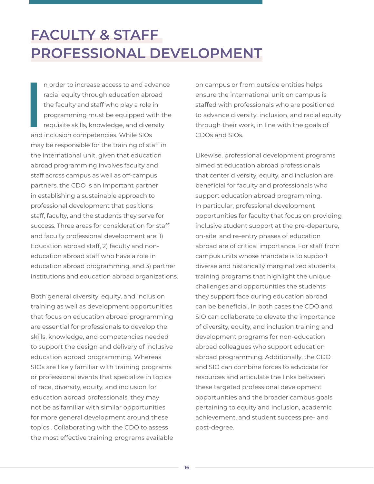# <span id="page-15-0"></span>**FACULTY & STAFF PROFESSIONAL DEVELOPMENT**

**I**<br> **I**<br>
and n order to increase access to and advance racial equity through education abroad the faculty and staff who play a role in programming must be equipped with the requisite skills, knowledge, and diversity and inclusion competencies. While SIOs may be responsible for the training of staff in the international unit, given that education abroad programming involves faculty and staff across campus as well as off-campus partners, the CDO is an important partner in establishing a sustainable approach to professional development that positions staff, faculty, and the students they serve for success. Three areas for consideration for staff and faculty professional development are: 1) Education abroad staff, 2) faculty and noneducation abroad staff who have a role in education abroad programming, and 3) partner institutions and education abroad organizations.

Both general diversity, equity, and inclusion training as well as development opportunities that focus on education abroad programming are essential for professionals to develop the skills, knowledge, and competencies needed to support the design and delivery of inclusive education abroad programming. Whereas SIOs are likely familiar with training programs or professional events that specialize in topics of race, diversity, equity, and inclusion for education abroad professionals, they may not be as familiar with similar opportunities for more general development around these topics.. Collaborating with the CDO to assess the most effective training programs available on campus or from outside entities helps ensure the international unit on campus is staffed with professionals who are positioned to advance diversity, inclusion, and racial equity through their work, in line with the goals of CDOs and SIOs.

Likewise, professional development programs aimed at education abroad professionals that center diversity, equity, and inclusion are beneficial for faculty and professionals who support education abroad programming. In particular, professional development opportunities for faculty that focus on providing inclusive student support at the pre-departure, on-site, and re-entry phases of education abroad are of critical importance. For staff from campus units whose mandate is to support diverse and historically marginalized students, training programs that highlight the unique challenges and opportunities the students they support face during education abroad can be beneficial. In both cases the CDO and SIO can collaborate to elevate the importance of diversity, equity, and inclusion training and development programs for non-education abroad colleagues who support education abroad programming. Additionally, the CDO and SIO can combine forces to advocate for resources and articulate the links between these targeted professional development opportunities and the broader campus goals pertaining to equity and inclusion, academic achievement, and student success pre- and post-degree.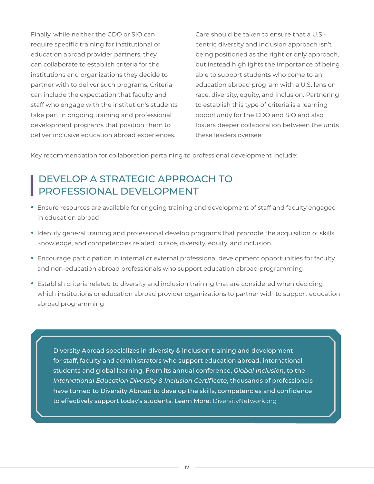Finally, while neither the CDO or SIO can require specific training for institutional or education abroad provider partners, they can collaborate to establish criteria for the institutions and organizations they decide to partner with to deliver such programs. Criteria can include the expectation that faculty and staff who engage with the institution's students take part in ongoing training and professional development programs that position them to deliver inclusive education abroad experiences.

Care should be taken to ensure that a U.S. centric diversity and inclusion approach isn't being positioned as the right or only approach, but instead highlights the importance of being able to support students who come to an education abroad program with a U.S. lens on race, diversity, equity, and inclusion. Partnering to establish this type of criteria is a learning opportunity for the CDO and SIO and also fosters deeper collaboration between the units these leaders oversee.

Key recommendation for collaboration pertaining to professional development include:

#### DEVELOP A STRATEGIC APPROACH TO PROFESSIONAL DEVELOPMENT

- **•** Ensure resources are available for ongoing training and development of staff and faculty engaged in education abroad
- **•** Identify general training and professional develop programs that promote the acquisition of skills, knowledge, and competencies related to race, diversity, equity, and inclusion
- **•** Encourage participation in internal or external professional development opportunities for faculty and non-education abroad professionals who support education abroad programming
- **•** Establish criteria related to diversity and inclusion training that are considered when deciding which institutions or education abroad provider organizations to partner with to support education abroad programming

Diversity Abroad specializes in diversity & inclusion training and development for staff, faculty and administrators who support education abroad, international students and global learning. From its annual conference, *Global Inclusion*, to the *International Education Diversity & Inclusion Certificate*, thousands of professionals have turned to Diversity Abroad to develop the skills, competencies and confidence to effectively support today's students. Learn More: [DiversityNetwork.org](http://DiversityNetwork.org)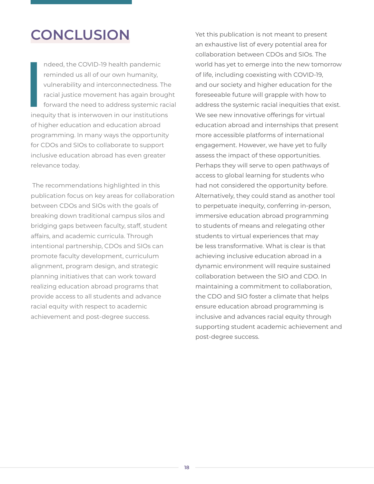## <span id="page-17-0"></span>**CONCLUSION**

I<br>I<br>Ineq ndeed, the COVID-19 health pandemic reminded us all of our own humanity, vulnerability and interconnectedness. The racial justice movement has again brought forward the need to address systemic racial inequity that is interwoven in our institutions of higher education and education abroad programming. In many ways the opportunity for CDOs and SIOs to collaborate to support inclusive education abroad has even greater relevance today.

 The recommendations highlighted in this publication focus on key areas for collaboration between CDOs and SIOs with the goals of breaking down traditional campus silos and bridging gaps between faculty, staff, student affairs, and academic curricula. Through intentional partnership, CDOs and SIOs can promote faculty development, curriculum alignment, program design, and strategic planning initiatives that can work toward realizing education abroad programs that provide access to all students and advance racial equity with respect to academic achievement and post-degree success.

Yet this publication is not meant to present an exhaustive list of every potential area for collaboration between CDOs and SIOs. The world has yet to emerge into the new tomorrow of life, including coexisting with COVID-19, and our society and higher education for the foreseeable future will grapple with how to address the systemic racial inequities that exist. We see new innovative offerings for virtual education abroad and internships that present more accessible platforms of international engagement. However, we have yet to fully assess the impact of these opportunities. Perhaps they will serve to open pathways of access to global learning for students who had not considered the opportunity before. Alternatively, they could stand as another tool to perpetuate inequity, conferring in-person, immersive education abroad programming to students of means and relegating other students to virtual experiences that may be less transformative. What is clear is that achieving inclusive education abroad in a dynamic environment will require sustained collaboration between the SIO and CDO. In maintaining a commitment to collaboration, the CDO and SIO foster a climate that helps ensure education abroad programming is inclusive and advances racial equity through supporting student academic achievement and post-degree success.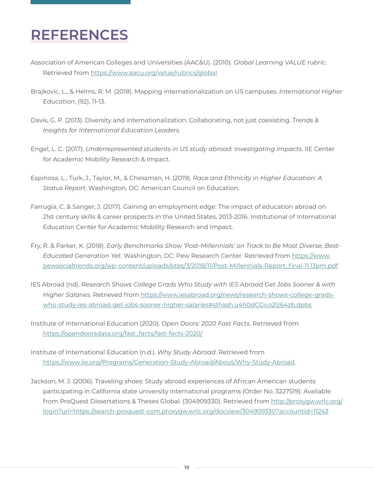# <span id="page-18-0"></span>**REFERENCES**

- Association of American Colleges and Universities (AAC&U). (2010). *Global Learning VALUE rubric*. Retrieved from <https://www.aacu.org/value/rubrics/global>
- Brajkovic, L., & Helms, R. M. (2018). Mapping internationalization on US campuses. *International Higher Education*, (92), 11-13.
- Davis, G. P. (2013). Diversity and internationalization: Collaborating, not just coexisting. *Trends & Insights for International Education Leaders*.
- Engel, L. C. (2017). *Underrepresented students in US study abroad: Investigating impacts*. IIE Center for Academic Mobility Research & Impact.
- Espinosa, L., Turk, J., Taylor, M., & Chessman, H. (2019). *Race and Ethnicity in Higher Education: A Status Report*. Washington, DC: American Council on Education.
- Farrugia, C. & Sanger, J. (2017). Gaining an employment edge: The impact of education abroad on 21st century skills & career prospects in the United States, 2013-2016. Institutional of International Education Center for Academic Mobility Research and Impact.
- Fry, R. & Parker, K. (2018). *Early Benchmarks Show 'Post-Millennials' on Track to Be Most Diverse, Best-Educated Generation Yet*. Washington, DC: Pew Research Center. Retrieved from [https://www.](https://www.pewsocialtrends.org/wp-content/uploads/sites/3/2018/11/Post-Millennials-Report_final-11.13pm.pdf ) [pewsocialtrends.org/wp-content/uploads/sites/3/2018/11/Post-Millennials-Report\\_final-11.13pm.pdf](https://www.pewsocialtrends.org/wp-content/uploads/sites/3/2018/11/Post-Millennials-Report_final-11.13pm.pdf )
- IES Abroad (nd). *Research Shows College Grads Who Study with IES Abroad Get Jobs Sooner & with Higher Salaries*. Retrieved from [https://www.iesabroad.org/news/research-shows-college-grads](https://www.iesabroad.org/news/research-shows-college-grads-who-study-ies-abroad-get-jobs-sooner-higher-salaries#sthash.u4h0dCGv.o2lz64zb.dpbs)[who-study-ies-abroad-get-jobs-sooner-higher-salaries#sthash.u4h0dCGv.o2lz64zb.dpbs](https://www.iesabroad.org/news/research-shows-college-grads-who-study-ies-abroad-get-jobs-sooner-higher-salaries#sthash.u4h0dCGv.o2lz64zb.dpbs)
- Institute of International Education (2020). *Open Doors: 2020 Fast Facts*. Retrieved from [https://opendoorsdata.org/fast\\_facts/fast-facts-2020/](https://opendoorsdata.org/fast_facts/fast-facts-2020/)
- Institute of International Education (n.d.). *Why Study Abroad*. Retrieved from <https://www.iie.org/Programs/Generation-Study-Abroad/About/Why-Study-Abroad>.
- Jackson, M. J. (2006). Traveling shoes: Study abroad experiences of African American students participating in California state university international programs (Order No. 3227519). Available from ProQuest Dissertations & Theses Global. (304909330). Retrieved from [http://proxygw.wrlc.org/](http://proxygw.wrlc.org/login?url=https://search-proquest-com.proxygw.wrlc.org/docview/304909330?accountid=11243) [login?url=https://search-proquest-com.proxygw.wrlc.org/docview/304909330?accountid=11243](http://proxygw.wrlc.org/login?url=https://search-proquest-com.proxygw.wrlc.org/docview/304909330?accountid=11243)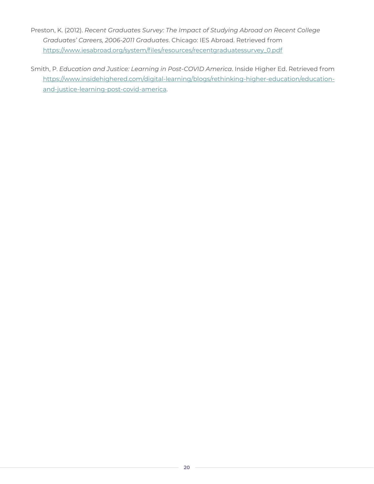- Preston, K. (2012). *Recent Graduates Survey: The Impact of Studying Abroad on Recent College Graduates' Careers, 2006-2011 Graduates*. Chicago: IES Abroad. Retrieved from [https://www.iesabroad.org/system/files/resources/recentgraduatessurvey\\_0.pdf](https://www.iesabroad.org/system/files/resources/recentgraduatessurvey_0.pdf)
- Smith, P. *Education and Justice: Learning in Post-COVID America*. Inside Higher Ed. Retrieved from [https://www.insidehighered.com/digital-learning/blogs/rethinking-higher-education/education](https://www.insidehighered.com/digital-learning/blogs/rethinking-higher-education/education-and-justice-learning-post-covid-america)[and-justice-learning-post-covid-america.](https://www.insidehighered.com/digital-learning/blogs/rethinking-higher-education/education-and-justice-learning-post-covid-america)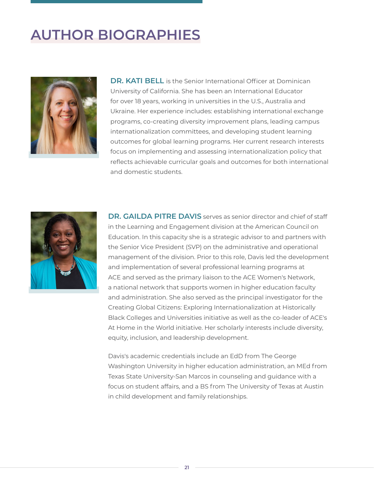# <span id="page-20-0"></span>**AUTHOR BIOGRAPHIES**



**DR. KATI BELL** is the Senior International Officer at Dominican University of California. She has been an International Educator for over 18 years, working in universities in the U.S., Australia and Ukraine. Her experience includes: establishing international exchange programs, co-creating diversity improvement plans, leading campus internationalization committees, and developing student learning outcomes for global learning programs. Her current research interests focus on implementing and assessing internationalization policy that reflects achievable curricular goals and outcomes for both international and domestic students.



**DR. GAILDA PITRE DAVIS** serves as senior director and chief of staff in the Learning and Engagement division at the American Council on Education. In this capacity she is a strategic advisor to and partners with the Senior Vice President (SVP) on the administrative and operational management of the division. Prior to this role, Davis led the development and implementation of several professional learning programs at ACE and served as the primary liaison to the ACE Women's Network, a national network that supports women in higher education faculty and administration. She also served as the principal investigator for the Creating Global Citizens: Exploring Internationalization at Historically Black Colleges and Universities initiative as well as the co-leader of ACE's At Home in the World initiative. Her scholarly interests include diversity, equity, inclusion, and leadership development.

Davis's academic credentials include an EdD from The George Washington University in higher education administration, an MEd from Texas State University-San Marcos in counseling and guidance with a focus on student affairs, and a BS from The University of Texas at Austin in child development and family relationships.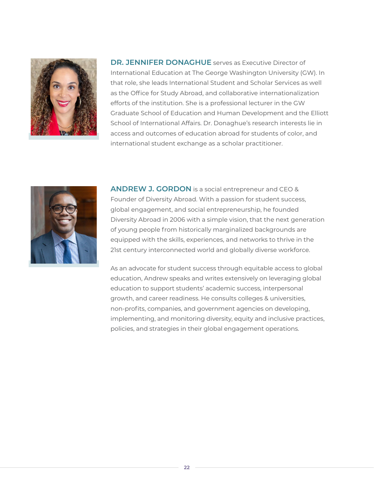

**DR. JENNIFER DONAGHUE** serves as Executive Director of International Education at The George Washington University (GW). In that role, she leads International Student and Scholar Services as well as the Office for Study Abroad, and collaborative internationalization efforts of the institution. She is a professional lecturer in the GW Graduate School of Education and Human Development and the Elliott School of International Affairs. Dr. Donaghue's research interests lie in access and outcomes of education abroad for students of color, and international student exchange as a scholar practitioner.



**ANDREW J. GORDON** is a social entrepreneur and CEO & Founder of Diversity Abroad. With a passion for student success, global engagement, and social entrepreneurship, he founded Diversity Abroad in 2006 with a simple vision, that the next generation of young people from historically marginalized backgrounds are equipped with the skills, experiences, and networks to thrive in the 21st century interconnected world and globally diverse workforce.

As an advocate for student success through equitable access to global education, Andrew speaks and writes extensively on leveraging global education to support students' academic success, interpersonal growth, and career readiness. He consults colleges & universities, non-profits, companies, and government agencies on developing, implementing, and monitoring diversity, equity and inclusive practices, policies, and strategies in their global engagement operations.